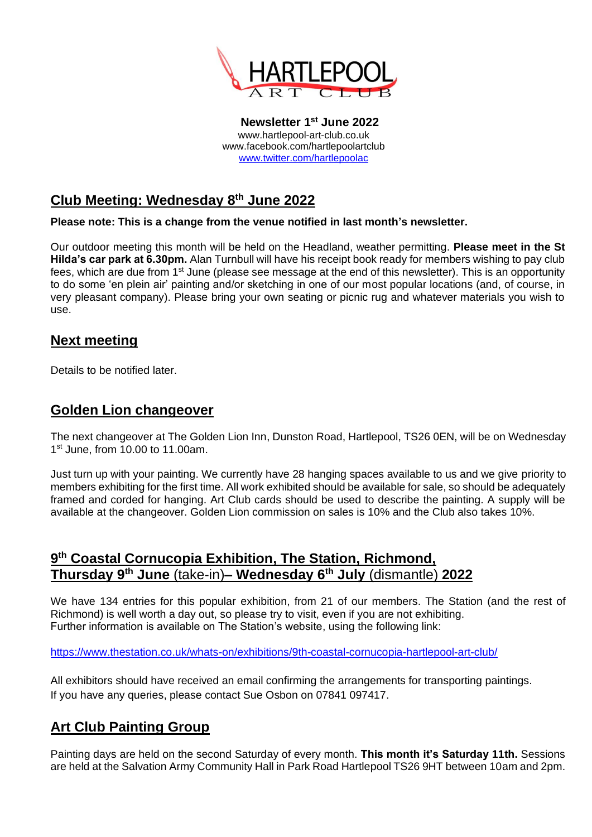

**Newsletter 1 st June 2022** www.hartlepool-art-club.co.uk www.facebook.com/hartlepoolartclub [www.twitter.com/hartlepoolac](http://www.twitter.com/hartlepoolac)

## **Club Meeting: Wednesday 8 th June 2022**

**Please note: This is a change from the venue notified in last month's newsletter.**

Our outdoor meeting this month will be held on the Headland, weather permitting. **Please meet in the St Hilda's car park at 6.30pm.** Alan Turnbull will have his receipt book ready for members wishing to pay club fees, which are due from 1<sup>st</sup> June (please see message at the end of this newsletter). This is an opportunity to do some 'en plein air' painting and/or sketching in one of our most popular locations (and, of course, in very pleasant company). Please bring your own seating or picnic rug and whatever materials you wish to use.

#### **Next meeting**

Details to be notified later.

#### **Golden Lion changeover**

The next changeover at The Golden Lion Inn, Dunston Road, Hartlepool, TS26 0EN, will be on Wednesday 1<sup>st</sup> June, from 10.00 to 11.00am.

Just turn up with your painting. We currently have 28 hanging spaces available to us and we give priority to members exhibiting for the first time. All work exhibited should be available for sale, so should be adequately framed and corded for hanging. Art Club cards should be used to describe the painting. A supply will be available at the changeover. Golden Lion commission on sales is 10% and the Club also takes 10%.

### **9 th Coastal Cornucopia Exhibition, The Station, Richmond, Thursday 9 th June** (take-in)**– Wednesday 6 th July** (dismantle) **2022**

We have 134 entries for this popular exhibition, from 21 of our members. The Station (and the rest of Richmond) is well worth a day out, so please try to visit, even if you are not exhibiting. Further information is available on The Station's website, using the following link:

<https://www.thestation.co.uk/whats-on/exhibitions/9th-coastal-cornucopia-hartlepool-art-club/>

All exhibitors should have received an email confirming the arrangements for transporting paintings. If you have any queries, please contact Sue Osbon on 07841 097417.

## **Art Club Painting Group**

Painting days are held on the second Saturday of every month. **This month it's Saturday 11th.** Sessions are held at the Salvation Army Community Hall in Park Road Hartlepool TS26 9HT between 10am and 2pm.